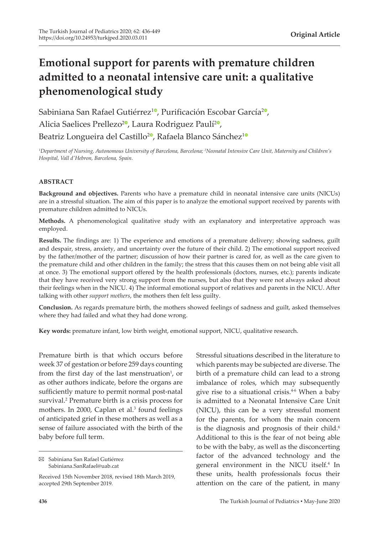# **Emotional support for parents with premature children admitted to a neonatal intensive care unit: a qualitative phenomenological study**

Sabiniana San Rafael Gutiérrez<sup>[1](https://orcid.org/0000-0002-5350-3686)0</sup>[,](https://orcid.org/0000-0002-2885-2083) Purificación Escobar García<sup>20</sup>, Alicia Saelices Prellezo<sup>2</sup>[,](https://orcid.org/0000-0003-4815-2700) Laura Rodriguez Paulí<sup>2</sup>, Beatriz Longueira del Castillo<sup>[2](https://orcid.org/0000-0002-5474-190X)0</sup>, Rafaela Blanco Sánchez<sup>[1](https://orcid.org/0000-0003-2735-8347)0</sup>

*1 Department of Nursing, Autonomous University of Barcelona, Barcelona; <sup>2</sup> Neonatal Intensive Care Unit, Maternity and Children's Hospital, Vall d'Hebron, Barcelona, Spain.*

#### **ABSTRACT**

**Background and objectives.** Parents who have a premature child in neonatal intensive care units (NICUs) are in a stressful situation. The aim of this paper is to analyze the emotional support received by parents with premature children admitted to NICUs.

**Methods.** A phenomenological qualitative study with an explanatory and interpretative approach was employed.

**Results.** The findings are: 1) The experience and emotions of a premature delivery; showing sadness, guilt and despair, stress, anxiety, and uncertainty over the future of their child. 2) The emotional support received by the father/mother of the partner; discussion of how their partner is cared for, as well as the care given to the premature child and other children in the family; the stress that this causes them on not being able visit all at once. 3) The emotional support offered by the health professionals (doctors, nurses, etc.); parents indicate that they have received very strong support from the nurses, but also that they were not always asked about their feelings when in the NICU. 4) The informal emotional support of relatives and parents in the NICU. After talking with other *support mothers*, the mothers then felt less guilty.

**Conclusion.** As regards premature birth, the mothers showed feelings of sadness and guilt, asked themselves where they had failed and what they had done wrong.

**Key words:** premature infant, low birth weight, emotional support, NICU, qualitative research.

Premature birth is that which occurs before week 37 of gestation or before 259 days counting from the first day of the last menstruation<sup>1</sup>, or as other authors indicate, before the organs are sufficiently mature to permit normal post-natal survival.<sup>2</sup> Premature birth is a crisis process for mothers. In 2000, Caplan et al.<sup>3</sup> found feelings of anticipated grief in these mothers as well as a sense of failure associated with the birth of the baby before full term.

Sabiniana San Rafael Gutiérrez Sabiniana.SanRafael@uab.cat

Stressful situations described in the literature to which parents may be subjected are diverse. The birth of a premature child can lead to a strong imbalance of roles, which may subsequently give rise to a situational crisis.<sup>4-6</sup> When a baby is admitted to a Neonatal Intensive Care Unit (NICU), this can be a very stressful moment for the parents, for whom the main concern is the diagnosis and prognosis of their child.<sup>6</sup> Additional to this is the fear of not being able to be with the baby, as well as the disconcerting factor of the advanced technology and the general environment in the NICU itself.4 In these units, health professionals focus their attention on the care of the patient, in many

Received 15th November 2018, revised 18th March 2019, accepted 29th September 2019.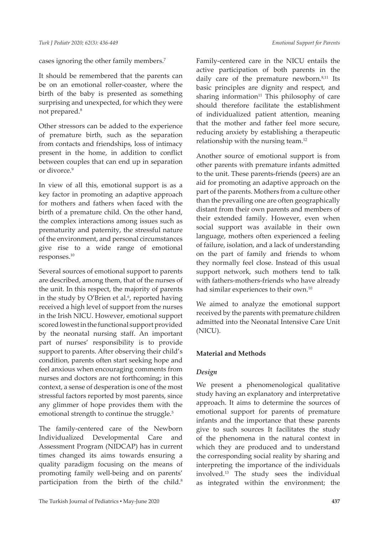cases ignoring the other family members.7

It should be remembered that the parents can be on an emotional roller-coaster, where the birth of the baby is presented as something surprising and unexpected, for which they were not prepared.<sup>8</sup>

Other stressors can be added to the experience of premature birth, such as the separation from contacts and friendships, loss of intimacy present in the home, in addition to conflict between couples that can end up in separation or divorce.<sup>9</sup>

In view of all this, emotional support is as a key factor in promoting an adaptive approach for mothers and fathers when faced with the birth of a premature child. On the other hand, the complex interactions among issues such as prematurity and paternity, the stressful nature of the environment, and personal circumstances give rise to a wide range of emotional responses.<sup>10</sup>

Several sources of emotional support to parents are described, among them, that of the nurses of the unit. In this respect, the majority of parents in the study by O'Brien et al. $6$ , reported having received a high level of support from the nurses in the Irish NICU. However, emotional support scored lowest in the functional support provided by the neonatal nursing staff. An important part of nurses' responsibility is to provide support to parents. After observing their child's condition, parents often start seeking hope and feel anxious when encouraging comments from nurses and doctors are not forthcoming; in this context, a sense of desperation is one of the most stressful factors reported by most parents, since any glimmer of hope provides them with the emotional strength to continue the struggle.<sup>5</sup>

The family-centered care of the Newborn Individualized Developmental Care and Assessment Program (NIDCAP) has in current times changed its aims towards ensuring a quality paradigm focusing on the means of promoting family well-being and on parents' participation from the birth of the child.<sup>8</sup>

Family-centered care in the NICU entails the active participation of both parents in the daily care of the premature newborn.<sup>8,11</sup> Its basic principles are dignity and respect, and sharing information $11$  This philosophy of care should therefore facilitate the establishment of individualized patient attention, meaning that the mother and father feel more secure, reducing anxiety by establishing a therapeutic relationship with the nursing team.<sup>12</sup>

Another source of emotional support is from other parents with premature infants admitted to the unit. These parents-friends (peers) are an aid for promoting an adaptive approach on the part of the parents. Mothers from a culture other than the prevailing one are often geographically distant from their own parents and members of their extended family. However, even when social support was available in their own language, mothers often experienced a feeling of failure, isolation, and a lack of understanding on the part of family and friends to whom they normally feel close. Instead of this usual support network, such mothers tend to talk with fathers-mothers-friends who have already had similar experiences to their own.<sup>10</sup>

We aimed to analyze the emotional support received by the parents with premature children admitted into the Neonatal Intensive Care Unit (NICU).

#### **Material and Methods**

#### *Design*

We present a phenomenological qualitative study having an explanatory and interpretative approach. It aims to determine the sources of emotional support for parents of premature infants and the importance that these parents give to such sources It facilitates the study of the phenomena in the natural context in which they are produced and to understand the corresponding social reality by sharing and interpreting the importance of the individuals involved.<sup>13</sup> The study sees the individual as integrated within the environment; the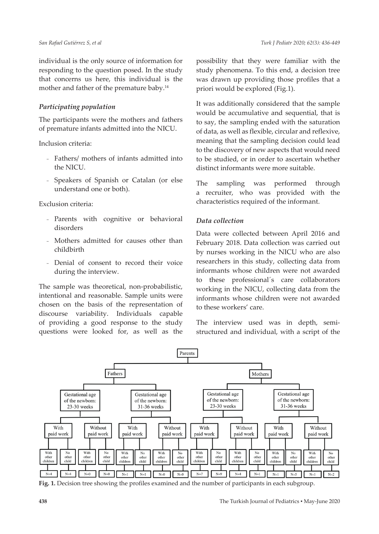individual is the only source of information for responding to the question posed. In the study that concerns us here, this individual is the mother and father of the premature baby.<sup>14</sup>

### *Participating population*

The participants were the mothers and fathers of premature infants admitted into the NICU.

Inclusion criteria:

- Fathers/ mothers of infants admitted into the NICU.
- ₋ Speakers of Spanish or Catalan (or else understand one or both).

Exclusion criteria:

- Parents with cognitive or behavioral disorders
- Mothers admitted for causes other than childbirth
- Denial of consent to record their voice during the interview.

The sample was theoretical, non-probabilistic, intentional and reasonable. Sample units were chosen on the basis of the representation of discourse variability. Individuals capable of providing a good response to the study questions were looked for, as well as the possibility that they were familiar with the study phenomena. To this end, a decision tree was drawn up providing those profiles that a priori would be explored (Fig.1).

It was additionally considered that the sample would be accumulative and sequential, that is to say, the sampling ended with the saturation of data, as well as flexible, circular and reflexive, meaning that the sampling decision could lead to the discovery of new aspects that would need to be studied, or in order to ascertain whether distinct informants were more suitable.

The sampling was performed through a recruiter, who was provided with the characteristics required of the informant.

# *Data collection*

Data were collected between April 2016 and February 2018. Data collection was carried out by nurses working in the NICU who are also researchers in this study, collecting data from informants whose children were not awarded to these professional´s care collaborators working in the NICU, collecting data from the informants whose children were not awarded to these workers' care.

The interview used was in depth, semistructured and individual, with a script of the



**Fig. 1.** Decision tree showing the profiles examined and the number of participants in each subgroup.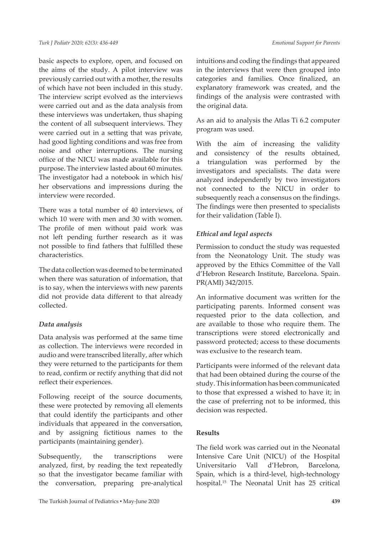basic aspects to explore, open, and focused on the aims of the study. A pilot interview was previously carried out with a mother, the results of which have not been included in this study. The interview script evolved as the interviews were carried out and as the data analysis from these interviews was undertaken, thus shaping the content of all subsequent interviews. They were carried out in a setting that was private, had good lighting conditions and was free from noise and other interruptions. The nursing office of the NICU was made available for this purpose. The interview lasted about 60 minutes. The investigator had a notebook in which his/ her observations and impressions during the interview were recorded.

There was a total number of 40 interviews, of which 10 were with men and 30 with women. The profile of men without paid work was not left pending further research as it was not possible to find fathers that fulfilled these characteristics.

The data collection was deemed to be terminated when there was saturation of information, that is to say, when the interviews with new parents did not provide data different to that already collected.

### *Data analysis*

Data analysis was performed at the same time as collection. The interviews were recorded in audio and were transcribed literally, after which they were returned to the participants for them to read, confirm or rectify anything that did not reflect their experiences.

Following receipt of the source documents, these were protected by removing all elements that could identify the participants and other individuals that appeared in the conversation, and by assigning fictitious names to the participants (maintaining gender).

Subsequently, the transcriptions were analyzed, first, by reading the text repeatedly so that the investigator became familiar with the conversation, preparing pre-analytical intuitions and coding the findings that appeared in the interviews that were then grouped into categories and families. Once finalized, an explanatory framework was created, and the findings of the analysis were contrasted with the original data.

As an aid to analysis the Atlas Ti 6.2 computer program was used.

With the aim of increasing the validity and consistency of the results obtained, a triangulation was performed by the investigators and specialists. The data were analyzed independently by two investigators not connected to the NICU in order to subsequently reach a consensus on the findings. The findings were then presented to specialists for their validation (Table I).

# *Ethical and legal aspects*

Permission to conduct the study was requested from the Neonatology Unit. The study was approved by the Ethics Committee of the Vall d'Hebron Research Institute, Barcelona. Spain. PR(AMI) 342/2015.

An informative document was written for the participating parents. Informed consent was requested prior to the data collection, and are available to those who require them. The transcriptions were stored electronically and password protected; access to these documents was exclusive to the research team.

Participants were informed of the relevant data that had been obtained during the course of the study. This information has been communicated to those that expressed a wished to have it; in the case of preferring not to be informed, this decision was respected.

### **Results**

The field work was carried out in the Neonatal Intensive Care Unit (NICU) of the Hospital Universitario Vall d'Hebron, Barcelona, Spain, which is a third-level, high-technology hospital.15 The Neonatal Unit has 25 critical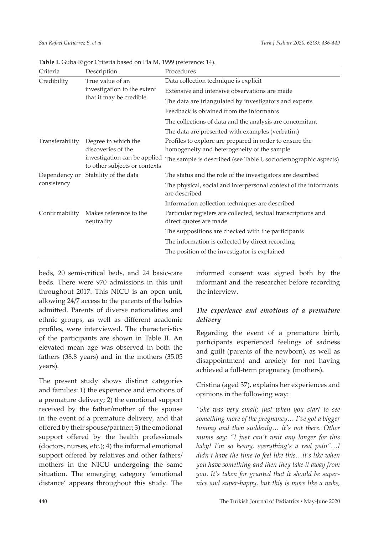| Criteria        | Description                                                                | Procedures                                                                                             |
|-----------------|----------------------------------------------------------------------------|--------------------------------------------------------------------------------------------------------|
| Credibility     | True value of an<br>investigation to the extent<br>that it may be credible | Data collection technique is explicit                                                                  |
|                 |                                                                            | Extensive and intensive observations are made                                                          |
|                 |                                                                            | The data are triangulated by investigators and experts                                                 |
|                 |                                                                            | Feedback is obtained from the informants                                                               |
|                 |                                                                            | The collections of data and the analysis are concomitant                                               |
|                 |                                                                            | The data are presented with examples (verbatim)                                                        |
| Transferability | Degree in which the<br>discoveries of the                                  | Profiles to explore are prepared in order to ensure the<br>homogeneity and heterogeneity of the sample |
|                 | investigation can be applied<br>to other subjects or contexts              | The sample is described (see Table I, sociodemographic aspects)                                        |
| consistency     | Dependency or Stability of the data                                        | The status and the role of the investigators are described                                             |
|                 |                                                                            | The physical, social and interpersonal context of the informants<br>are described                      |
|                 |                                                                            | Information collection techniques are described                                                        |
| Confirmability  | Makes reference to the<br>neutrality                                       | Particular registers are collected, textual transcriptions and<br>direct quotes are made               |
|                 |                                                                            | The suppositions are checked with the participants                                                     |
|                 |                                                                            | The information is collected by direct recording                                                       |
|                 |                                                                            | The position of the investigator is explained                                                          |

**Table I.** Guba Rigor Criteria based on Pla M, 1999 (reference: 14).

beds, 20 semi-critical beds, and 24 basic-care beds. There were 970 admissions in this unit throughout 2017. This NICU is an open unit, allowing 24/7 access to the parents of the babies admitted. Parents of diverse nationalities and ethnic groups, as well as different academic profiles, were interviewed. The characteristics of the participants are shown in Table II. An elevated mean age was observed in both the fathers (38.8 years) and in the mothers (35.05 years).

The present study shows distinct categories and families: 1) the experience and emotions of a premature delivery; 2) the emotional support received by the father/mother of the spouse in the event of a premature delivery, and that offered by their spouse/partner; 3) the emotional support offered by the health professionals (doctors, nurses, etc.); 4) the informal emotional support offered by relatives and other fathers/ mothers in the NICU undergoing the same situation. The emerging category 'emotional distance' appears throughout this study. The

informed consent was signed both by the informant and the researcher before recording the interview.

# *The experience and emotions of a premature delivery*

Regarding the event of a premature birth, participants experienced feelings of sadness and guilt (parents of the newborn), as well as disappointment and anxiety for not having achieved a full-term pregnancy (mothers).

Cristina (aged 37), explains her experiences and opinions in the following way:

*"She was very small; just when you start to see something more of the pregnancy… I've got a bigger tummy and then suddenly… it's not there. Other mums say: "I just can't wait any longer for this baby! I'm so heavy, everything's a real pain"…I didn't have the time to feel like this…it's like when you have something and then they take it away from you. It's taken for granted that it should be supernice and super-happy, but this is more like a wake,*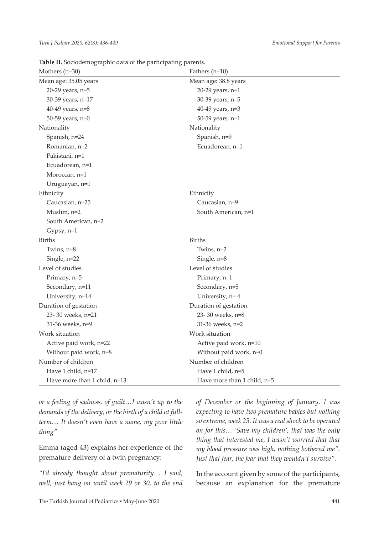**Table II.** Sociodemographic data of the participating parents.

| Mothers (n=30)               | Fathers $(n=10)$            |
|------------------------------|-----------------------------|
| Mean age: 35.05 years        | Mean age: 38.8 years        |
| 20-29 years, n=5             | 20-29 years, n=1            |
| 30-39 years, n=17            | 30-39 years, n=5            |
| 40-49 years, n=8             | 40-49 years, n=3            |
| 50-59 years, n=0             | 50-59 years, n=1            |
| Nationality                  | Nationality                 |
| Spanish, n=24                | Spanish, n=9                |
| Romanian, n=2                | Ecuadorean, n=1             |
| Pakistani, n=1               |                             |
| Ecuadorean, n=1              |                             |
| Moroccan, n=1                |                             |
| Uruguayan, n=1               |                             |
| Ethnicity                    | Ethnicity                   |
| Caucasian, n=25              | Caucasian, n=9              |
| Muslim, $n=2$                | South American, n=1         |
| South American, n=2          |                             |
| Gypsy, $n=1$                 |                             |
| <b>Births</b>                | <b>Births</b>               |
| Twins, $n=8$                 | Twins, $n=2$                |
| Single, n=22                 | Single, n=8                 |
| Level of studies             | Level of studies            |
| Primary, n=5                 | Primary, n=1                |
| Secondary, n=11              | Secondary, n=5              |
| University, n=14             | University, n= 4            |
| Duration of gestation        | Duration of gestation       |
| 23-30 weeks, n=21            | 23-30 weeks, n=8            |
| 31-36 weeks, n=9             | 31-36 weeks, n=2            |
| Work situation               | Work situation              |
| Active paid work, n=22       | Active paid work, n=10      |
| Without paid work, n=8       | Without paid work, n=0      |
| Number of children           | Number of children          |
| Have 1 child, n=17           | Have 1 child, n=5           |
| Have more than 1 child, n=13 | Have more than 1 child, n=5 |

*or a feeling of sadness, of guilt…I wasn't up to the demands of the delivery, or the birth of a child at fullterm… It doesn't even have a name, my poor little thing"*

Emma (aged 43) explains her experience of the premature delivery of a twin pregnancy:

*"I'd already thought about prematurity… I said, well, just hang on until week 29 or 30, to the end*  *of December or the beginning of January. I was expecting to have two premature babies but nothing so extreme, week 25. It was a real shock to be operated on for this… 'Save my children', that was the only thing that interested me, I wasn't worried that that my blood pressure was high, nothing bothered me". Just that fear, the fear that they wouldn't survive".*

In the account given by some of the participants, because an explanation for the premature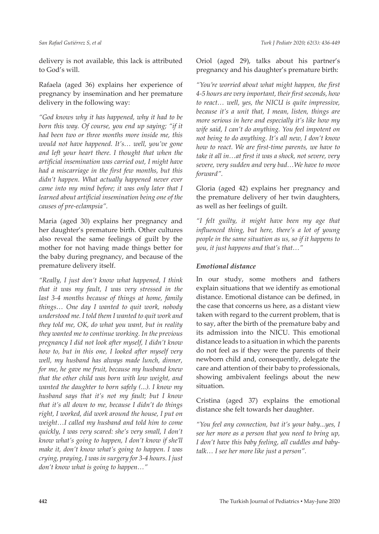delivery is not available, this lack is attributed to God's will.

Rafaela (aged 36) explains her experience of pregnancy by insemination and her premature delivery in the following way:

*"God knows why it has happened, why it had to be born this way. Of course, you end up saying; "if it had been two or three months more inside me, this would not have happened. It's… well, you've gone and left your heart there. I thought that when the artificial insemination was carried out, I might have had a miscarriage in the first few months, but this didn't happen. What actually happened never ever came into my mind before; it was only later that I learned about artificial insemination being one of the causes of pre-eclampsia".*

Maria (aged 30) explains her pregnancy and her daughter's premature birth. Other cultures also reveal the same feelings of guilt by the mother for not having made things better for the baby during pregnancy, and because of the premature delivery itself.

*"Really, I just don't know what happened, I think that it was my fault, I was very stressed in the last 3-4 months because of things at home, family things… One day I wanted to quit work, nobody understood me. I told them I wanted to quit work and they told me, OK, do what you want, but in reality they wanted me to continue working. In the previous pregnancy I did not look after myself, I didn't know how to, but in this one, I looked after myself very well, my husband has always made lunch, dinner, for me, he gave me fruit, because my husband knew that the other child was born with low weight, and wanted the daughter to born safely (...). I know my husband says that it's not my fault; but I know that it's all down to me, because I didn't do things right, I worked, did work around the house, I put on weight…I called my husband and told him to come quickly, I was very scared: she's very small, I don't know what's going to happen, I don't know if she'll make it, don't know what's going to happen. I was crying, praying, I was in surgery for 3-4 hours. I just don't know what is going to happen…"*

Oriol (aged 29), talks about his partner's pregnancy and his daughter's premature birth:

*"You're worried about what might happen, the first 4-5 hours are very important, their first seconds, how to react… well, yes, the NICU is quite impressive, because it's a unit that, I mean, listen, things are more serious in here and especially it's like how my wife said, I can't do anything. You feel impotent on not being to do anything. It's all new, I don't know how to react. We are first-time parents, we have to take it all in…at first it was a shock, not severe, very severe, very sudden and very bad…We have to move forward".*

Gloria (aged 42) explains her pregnancy and the premature delivery of her twin daughters, as well as her feelings of guilt.

*"I felt guilty, it might have been my age that influenced thing, but here, there's a lot of young people in the same situation as us, so if it happens to you, it just happens and that's that…"*

#### *Emotional distance*

In our study, some mothers and fathers explain situations that we identify as emotional distance. Emotional distance can be defined, in the case that concerns us here, as a distant view taken with regard to the current problem, that is to say, after the birth of the premature baby and its admission into the NICU. This emotional distance leads to a situation in which the parents do not feel as if they were the parents of their newborn child and, consequently, delegate the care and attention of their baby to professionals, showing ambivalent feelings about the new situation.

Cristina (aged 37) explains the emotional distance she felt towards her daughter.

*"You feel any connection, but it's your baby...yes, I see her more as a person that you need to bring up, I don't have this baby feeling, all cuddles and babytalk… I see her more like just a person".*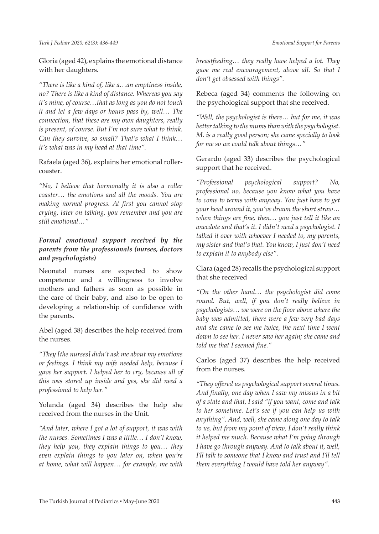Gloria (aged 42), explains the emotional distance with her daughters.

*"There is like a kind of, like a…an emptiness inside, no? There is like a kind of distance. Whereas you say it's mine, of course…that as long as you do not touch it and let a few days or hours pass by, well… The connection, that these are my own daughters, really is present, of course. But I'm not sure what to think. Can they survive, so small? That's what I think… it's what was in my head at that time".*

Rafaela (aged 36), explains her emotional rollercoaster.

*"No, I believe that hormonally it is also a roller coaster… the emotions and all the moods. You are making normal progress. At first you cannot stop crying, later on talking, you remember and you are still emotional…"*

# *Formal emotional support received by the parents from the professionals (nurses, doctors and psychologists)*

Neonatal nurses are expected to show competence and a willingness to involve mothers and fathers as soon as possible in the care of their baby, and also to be open to developing a relationship of confidence with the parents.

Abel (aged 38) describes the help received from the nurses.

*"They [the nurses] didn't ask me about my emotions or feelings. I think my wife needed help, because I gave her support. I helped her to cry, because all of this was stored up inside and yes, she did need a professional to help her."*

Yolanda (aged 34) describes the help she received from the nurses in the Unit.

*"And later, where I got a lot of support, it was with the nurses. Sometimes I was a little… I don't know, they help you, they explain things to you… they even explain things to you later on, when you're at home, what will happen… for example, me with* 

*breastfeeding… they really have helped a lot. They gave me real encouragement, above all. So that I don't get obsessed with things".* 

Rebeca (aged 34) comments the following on the psychological support that she received.

*"Well, the psychologist is there… but for me, it was better talking to the mums than with the psychologist. M. is a really good person; she came specially to look for me so we could talk about things…"*

Gerardo (aged 33) describes the psychological support that he received.

*"Professional psychological support? No, professional no, because you know what you have to come to terms with anyway. You just have to get your head around it, you've drawn the short straw… when things are fine, then… you just tell it like an anecdote and that's it. I didn't need a psychologist. I talked it over with whoever I needed to, my parents, my sister and that's that. You know, I just don't need to explain it to anybody else".*

Clara (aged 28) recalls the psychological support that she received

*"On the other hand… the psychologist did come round. But, well, if you don't really believe in psychologists… we were on the floor above where the baby was admitted, there were a few very bad days and she came to see me twice, the next time I went down to see her. I never saw her again; she came and told me that I seemed fine."* 

Carlos (aged 37) describes the help received from the nurses.

*"They offered us psychological support several times. And finally, one day when I saw my missus in a bit of a state and that, I said "if you want, come and talk to her sometime. Let's see if you can help us with anything". And, well, she came along one day to talk to us, but from my point of view, I don't really think it helped me much. Because what I'm going through I have go through anyway. And to talk about it, well, I'll talk to someone that I know and trust and I'll tell them everything I would have told her anyway".*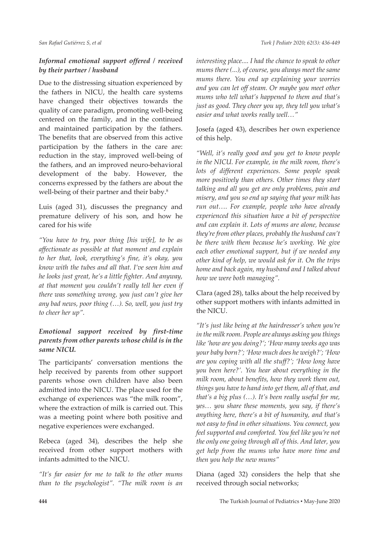# *Informal emotional support offered / received by their partner / husband*

Due to the distressing situation experienced by the fathers in NICU, the health care systems have changed their objectives towards the quality of care paradigm, promoting well-being centered on the family, and in the continued and maintained participation by the fathers. The benefits that are observed from this active participation by the fathers in the care are: reduction in the stay, improved well-being of the fathers, and an improved neuro-behavioral development of the baby. However, the concerns expressed by the fathers are about the well-being of their partner and their baby.<sup>8</sup>

Luis (aged 31), discusses the pregnancy and premature delivery of his son, and how he cared for his wife

*"You have to try, poor thing [his wife], to be as affectionate as possible at that moment and explain to her that, look, everything's fine, it's okay, you know with the tubes and all that. I've seen him and he looks just great, he's a little fighter. And anyway, at that moment you couldn't really tell her even if there was something wrong, you just can't give her any bad news, poor thing (…). So, well, you just try to cheer her up".* 

# *Emotional support received by first-time parents from other parents whose child is in the same NICU.*

The participants' conversation mentions the help received by parents from other support parents whose own children have also been admitted into the NICU. The place used for the exchange of experiences was "the milk room", where the extraction of milk is carried out. This was a meeting point where both positive and negative experiences were exchanged.

Rebeca (aged 34), describes the help she received from other support mothers with infants admitted to the NICU.

*"It's far easier for me to talk to the other mums than to the psychologist". "The milk room is an*  *interesting place.... I had the chance to speak to other mums there (...), of course, you always meet the same mums there. You end up explaining your worries and you can let off steam. Or maybe you meet other mums who tell what's happened to them and that's just as good. They cheer you up, they tell you what's easier and what works really well…"*

Josefa (aged 43), describes her own experience of this help.

*"Well, it's really good and you get to know people in the NICU. For example, in the milk room, there's lots of different experiences. Some people speak more positively than others. Other times they start talking and all you get are only problems, pain and misery, and you so end up saying that your milk has run out…. For example, people who have already experienced this situation have a bit of perspective and can explain it. Lots of mums are alone, because they're from other places, probably the husband can't be there with them because he's working. We give each other emotional support, but if we needed any other kind of help, we would ask for it. On the trips home and back again, my husband and I talked about how we were both managing".*

Clara (aged 28), talks about the help received by other support mothers with infants admitted in the NICU.

*"It's just like being at the hairdresser's when you're in the milk room. People are always asking you things like 'how are you doing?'; 'How many weeks ago was your baby born?'; 'How much does he weigh?'; 'How are you coping with all the stuff?'; 'How long have you been here?'. You hear about everything in the milk room, about benefits, how they work them out, things you have to hand into get them, all of that, and that's a big plus (…). It's been really useful for me, yes… you share these moments, you say, if there's anything here, there's a bit of humanity, and that's not easy to find in other situations. You connect, you feel supported and comforted. You feel like you're not the only one going through all of this. And later, you get help from the mums who have more time and then you help the new mums"*

Diana (aged 32) considers the help that she received through social networks;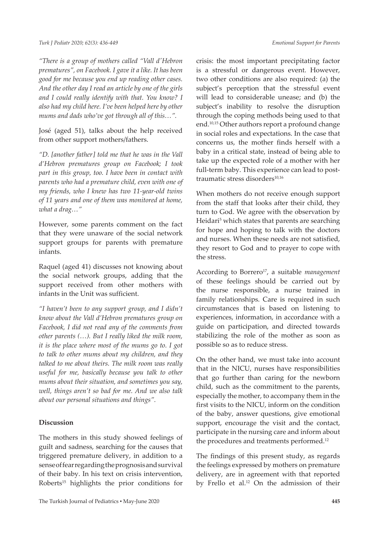*"There is a group of mothers called "Vall d'Hebron prematures", on Facebook. I gave it a like. It has been good for me because you end up reading other cases. And the other day I read an article by one of the girls and I could really identify with that. You know? I also had my child here. I've been helped here by other mums and dads who've got through all of this…".*

José (aged 51), talks about the help received from other support mothers/fathers.

*"D. [another father] told me that he was in the Vall d'Hebron prematures group on Facebook; I took part in this group, too. I have been in contact with parents who had a premature child, even with one of my friends, who I knew has two 11-year-old twins of 11 years and one of them was monitored at home, what a drag…"*

However, some parents comment on the fact that they were unaware of the social network support groups for parents with premature infants.

Raquel (aged 41) discusses not knowing about the social network groups, adding that the support received from other mothers with infants in the Unit was sufficient.

*"I haven't been to any support group, and I didn't know about the Vall d'Hebron prematures group on Facebook, I did not read any of the comments from other parents (…). But I really liked the milk room, it is the place where most of the mums go to. I got to talk to other mums about my children, and they talked to me about theirs. The milk room was really useful for me, basically because you talk to other mums about their situation, and sometimes you say, well, things aren't so bad for me. And we also talk about our personal situations and things".*

### **Discussion**

The mothers in this study showed feelings of guilt and sadness, searching for the causes that triggered premature delivery, in addition to a sense of fear regarding the prognosis and survival of their baby. In his text on crisis intervention, Roberts<sup>15</sup> highlights the prior conditions for

crisis: the most important precipitating factor is a stressful or dangerous event. However, two other conditions are also required: (a) the subject's perception that the stressful event will lead to considerable unease; and (b) the subject's inability to resolve the disruption through the coping methods being used to that end.10,15 Other authors report a profound change in social roles and expectations. In the case that concerns us, the mother finds herself with a baby in a critical state, instead of being able to take up the expected role of a mother with her full-term baby. This experience can lead to posttraumatic stress disorders<sup>10,16</sup>

When mothers do not receive enough support from the staff that looks after their child, they turn to God. We agree with the observation by Heidari<sup>5</sup> which states that parents are searching for hope and hoping to talk with the doctors and nurses. When these needs are not satisfied, they resort to God and to prayer to cope with the stress.

According to Borrero<sup>17</sup>, a suitable *management* of these feelings should be carried out by the nurse responsible, a nurse trained in family relationships. Care is required in such circumstances that is based on listening to experiences, information, in accordance with a guide on participation, and directed towards stabilizing the role of the mother as soon as possible so as to reduce stress.

On the other hand, we must take into account that in the NICU, nurses have responsibilities that go further than caring for the newborn child, such as the commitment to the parents, especially the mother, to accompany them in the first visits to the NICU, inform on the condition of the baby, answer questions, give emotional support, encourage the visit and the contact, participate in the nursing care and inform about the procedures and treatments performed.<sup>12</sup>

The findings of this present study, as regards the feelings expressed by mothers on premature delivery, are in agreement with that reported by Frello et al.12 On the admission of their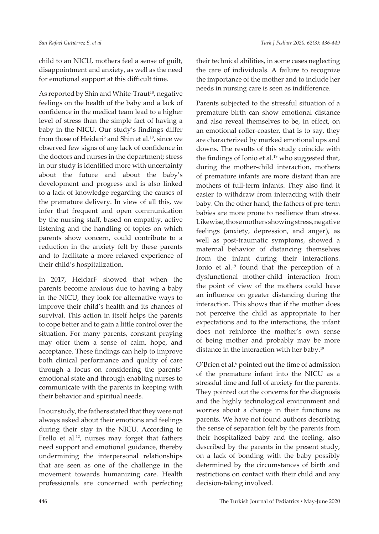child to an NICU, mothers feel a sense of guilt, disappointment and anxiety, as well as the need for emotional support at this difficult time.

As reported by Shin and White-Traut<sup>18</sup>, negative feelings on the health of the baby and a lack of confidence in the medical team lead to a higher level of stress than the simple fact of having a baby in the NICU. Our study's findings differ from those of Heidari<sup>5</sup> and Shin et al.<sup>18</sup>, since we observed few signs of any lack of confidence in the doctors and nurses in the department; stress in our study is identified more with uncertainty about the future and about the baby's development and progress and is also linked to a lack of knowledge regarding the causes of the premature delivery. In view of all this, we infer that frequent and open communication by the nursing staff, based on empathy, active listening and the handling of topics on which parents show concern, could contribute to a reduction in the anxiety felt by these parents and to facilitate a more relaxed experience of their child's hospitalization.

In 2017, Heidari<sup>5</sup> showed that when the parents become anxious due to having a baby in the NICU, they look for alternative ways to improve their child's health and its chances of survival. This action in itself helps the parents to cope better and to gain a little control over the situation. For many parents, constant praying may offer them a sense of calm, hope, and acceptance. These findings can help to improve both clinical performance and quality of care through a focus on considering the parents' emotional state and through enabling nurses to communicate with the parents in keeping with their behavior and spiritual needs.

In our study, the fathers stated that they were not always asked about their emotions and feelings during their stay in the NICU. According to Frello et al.<sup>12</sup>, nurses may forget that fathers need support and emotional guidance, thereby undermining the interpersonal relationships that are seen as one of the challenge in the movement towards humanizing care. Health professionals are concerned with perfecting

their technical abilities, in some cases neglecting the care of individuals. A failure to recognize the importance of the mother and to include her needs in nursing care is seen as indifference.

Parents subjected to the stressful situation of a premature birth can show emotional distance and also reveal themselves to be, in effect, on an emotional roller-coaster, that is to say, they are characterized by marked emotional ups and downs. The results of this study coincide with the findings of Ionio et al.<sup>19</sup> who suggested that, during the mother-child interaction, mothers of premature infants are more distant than are mothers of full-term infants. They also find it easier to withdraw from interacting with their baby. On the other hand, the fathers of pre-term babies are more prone to resilience than stress. Likewise, those mothers showing stress, negative feelings (anxiety, depression, and anger), as well as post-traumatic symptoms, showed a maternal behavior of distancing themselves from the infant during their interactions. Ionio et al.19 found that the perception of a dysfunctional mother-child interaction from the point of view of the mothers could have an influence on greater distancing during the interaction. This shows that if the mother does not perceive the child as appropriate to her expectations and to the interactions, the infant does not reinforce the mother's own sense of being mother and probably may be more distance in the interaction with her baby.19

O'Brien et al.<sup>6</sup> pointed out the time of admission of the premature infant into the NICU as a stressful time and full of anxiety for the parents. They pointed out the concerns for the diagnosis and the highly technological environment and worries about a change in their functions as parents. We have not found authors describing the sense of separation felt by the parents from their hospitalized baby and the feeling, also described by the parents in the present study, on a lack of bonding with the baby possibly determined by the circumstances of birth and restrictions on contact with their child and any decision-taking involved.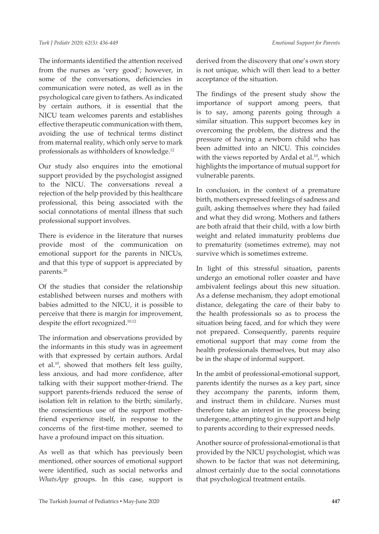The informants identified the attention received from the nurses as 'very good'; however, in some of the conversations, deficiencies in communication were noted, as well as in the psychological care given to fathers. As indicated by certain authors, it is essential that the NICU team welcomes parents and establishes effective therapeutic communication with them, avoiding the use of technical terms distinct from maternal reality, which only serve to mark professionals as withholders of knowledge.<sup>12</sup>

Our study also enquires into the emotional support provided by the psychologist assigned to the NICU. The conversations reveal a rejection of the help provided by this healthcare professional, this being associated with the social connotations of mental illness that such professional support involves.

There is evidence in the literature that nurses provide most of the communication on emotional support for the parents in NICUs, and that this type of support is appreciated by parents.<sup>20</sup>

Of the studies that consider the relationship established between nurses and mothers with babies admitted to the NICU, it is possible to perceive that there is margin for improvement, despite the effort recognized.10,12

The information and observations provided by the informants in this study was in agreement with that expressed by certain authors. Ardal et al.10, showed that mothers felt less guilty, less anxious, and had more confidence, after talking with their support mother-friend. The support parents-friends reduced the sense of isolation felt in relation to the birth; similarly, the conscientious use of the support motherfriend experience itself, in response to the concerns of the first-time mother, seemed to have a profound impact on this situation.

As well as that which has previously been mentioned, other sources of emotional support were identified, such as social networks and *WhatsApp* groups. In this case, support is derived from the discovery that one's own story is not unique, which will then lead to a better acceptance of the situation.

The findings of the present study show the importance of support among peers, that is to say, among parents going through a similar situation. This support becomes key in overcoming the problem, the distress and the pressure of having a newborn child who has been admitted into an NICU. This coincides with the views reported by Ardal et al.<sup>10</sup>, which highlights the importance of mutual support for vulnerable parents.

In conclusion, in the context of a premature birth, mothers expressed feelings of sadness and guilt, asking themselves where they had failed and what they did wrong. Mothers and fathers are both afraid that their child, with a low birth weight and related immaturity problems due to prematurity (sometimes extreme), may not survive which is sometimes extreme.

In light of this stressful situation, parents undergo an emotional roller coaster and have ambivalent feelings about this new situation. As a defense mechanism, they adopt emotional distance, delegating the care of their baby to the health professionals so as to process the situation being faced, and for which they were not prepared. Consequently, parents require emotional support that may come from the health professionals themselves, but may also be in the shape of informal support.

In the ambit of professional-emotional support, parents identify the nurses as a key part, since they accompany the parents, inform them, and instruct them in childcare. Nurses must therefore take an interest in the process being undergone, attempting to give support and help to parents according to their expressed needs.

Another source of professional-emotional is that provided by the NICU psychologist, which was shown to be factor that was not determining, almost certainly due to the social connotations that psychological treatment entails.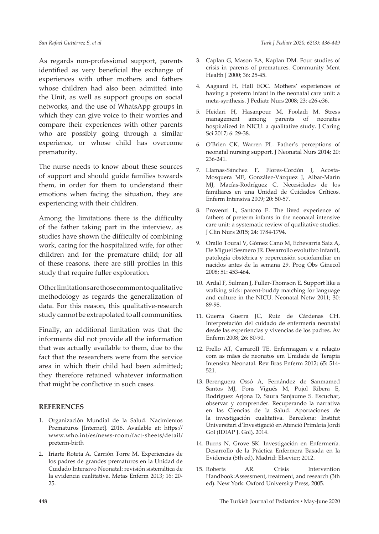As regards non-professional support, parents identified as very beneficial the exchange of experiences with other mothers and fathers whose children had also been admitted into the Unit, as well as support groups on social networks, and the use of WhatsApp groups in which they can give voice to their worries and compare their experiences with other parents who are possibly going through a similar experience, or whose child has overcome prematurity.

The nurse needs to know about these sources of support and should guide families towards them, in order for them to understand their emotions when facing the situation, they are experiencing with their children.

Among the limitations there is the difficulty of the father taking part in the interview, as studies have shown the difficulty of combining work, caring for the hospitalized wife, for other children and for the premature child; for all of these reasons, there are still profiles in this study that require fuller exploration.

Other limitations are those common to qualitative methodology as regards the generalization of data. For this reason, this qualitative-research study cannot be extrapolated to all communities.

Finally, an additional limitation was that the informants did not provide all the information that was actually available to them, due to the fact that the researchers were from the service area in which their child had been admitted; they therefore retained whatever information that might be conflictive in such cases.

#### **REFERENCES**

- 1. Organización Mundial de la Salud. Nacimientos Prematuros [Internet]. 2018. Available at: https:// www.who.int/es/news-room/fact-sheets/detail/ preterm-birth
- 2. Iriarte Roteta A, Carrión Torre M. Experiencias de los padres de grandes prematuros en la Unidad de Cuidado Intensivo Neonatal: revisión sistemática de la evidencia cualitativa. Metas Enferm 2013; 16: 20- 25.
- 3. Caplan G, Mason EA, Kaplan DM. Four studies of crisis in parents of prematures. Community Ment Health J 2000; 36: 25-45.
- 4. Aagaard H, Hall EOC. Mothers' experiences of having a preterm infant in the neonatal care unit: a meta-synthesis. J Pediatr Nurs 2008; 23: e26-e36.
- 5. Heidari H, Hasanpour M, Fooladi M. Stress management among parents of neonates hospitalized in NICU: a qualitative study. J Caring Sci 2017; 6: 29-38.
- 6. O'Brien CK, Warren PL. Father's perceptions of neonatal nursing support. J Neonatal Nurs 2014; 20: 236-241.
- 7. Llamas-Sánchez F, Flores-Cordón J, Acosta-Mosquera ME, González-Vázquez J, Albar-Marín MJ, Macías-Rodríguez C. Necesidades de los familiares en una Unidad de Cuidados Críticos. Enferm Intensiva 2009; 20: 50-57.
- 8. Provenzi L, Santoro E. The lived experience of fathers of preterm infants in the neonatal intensive care unit: a systematic review of qualitative studies. J Clin Nurs 2015; 24: 1784-1794.
- 9. Orallo Toural V, Gómez Cano M, Echevarría Saiz A, De Miguel Sesmero JR. Desarrollo evolutivo infantil, patología obstétrica y repercusión sociofamiliar en nacidos antes de la semana 29. Prog Obs Ginecol 2008; 51: 453-464.
- 10. Ardal F, Sulman J, Fuller-Thomson E. Support like a walking stick: parent-buddy matching for language and culture in the NICU. Neonatal Netw 2011; 30: 89-98.
- 11. Guerra Guerra JC, Ruíz de Cárdenas CH. Interpretación del cuidado de enfermería neonatal desde las experiencias y vivencias de los padres. Av Enferm 2008; 26: 80-90.
- 12. Frello AT, CarraroII TE. Enfermagem e a relação com as mães de neonatos em Unidade de Terapia Intensiva Neonatal. Rev Bras Enferm 2012; 65: 514- 521.
- 13. Berenguera Ossó A, Fernández de Sanmamed Santos MJ, Pons Vigués M, Pujol Ribera E, Rodriguez Arjona D, Saura Sanjaume S. Escuchar, observar y comprender. Recuperando la narrativa en las Ciencias de la Salud. Aportaciones de la investigación cualitativa. Barcelona: Institut Universitari d'Investigació en Atenció Primària Jordi Gol (IDIAP J. Gol), 2014.
- 14. Burns N, Grove SK. Investigación en Enfermería. Desarrollo de la Práctica Enfermera Basada en la Evidencia (5th ed). Madrid: Elsevier; 2012.
- 15. Roberts AR. Crisis Intervention Handbook:Assessment, treatment, and research (3th ed). New York: Oxford University Press, 2005.